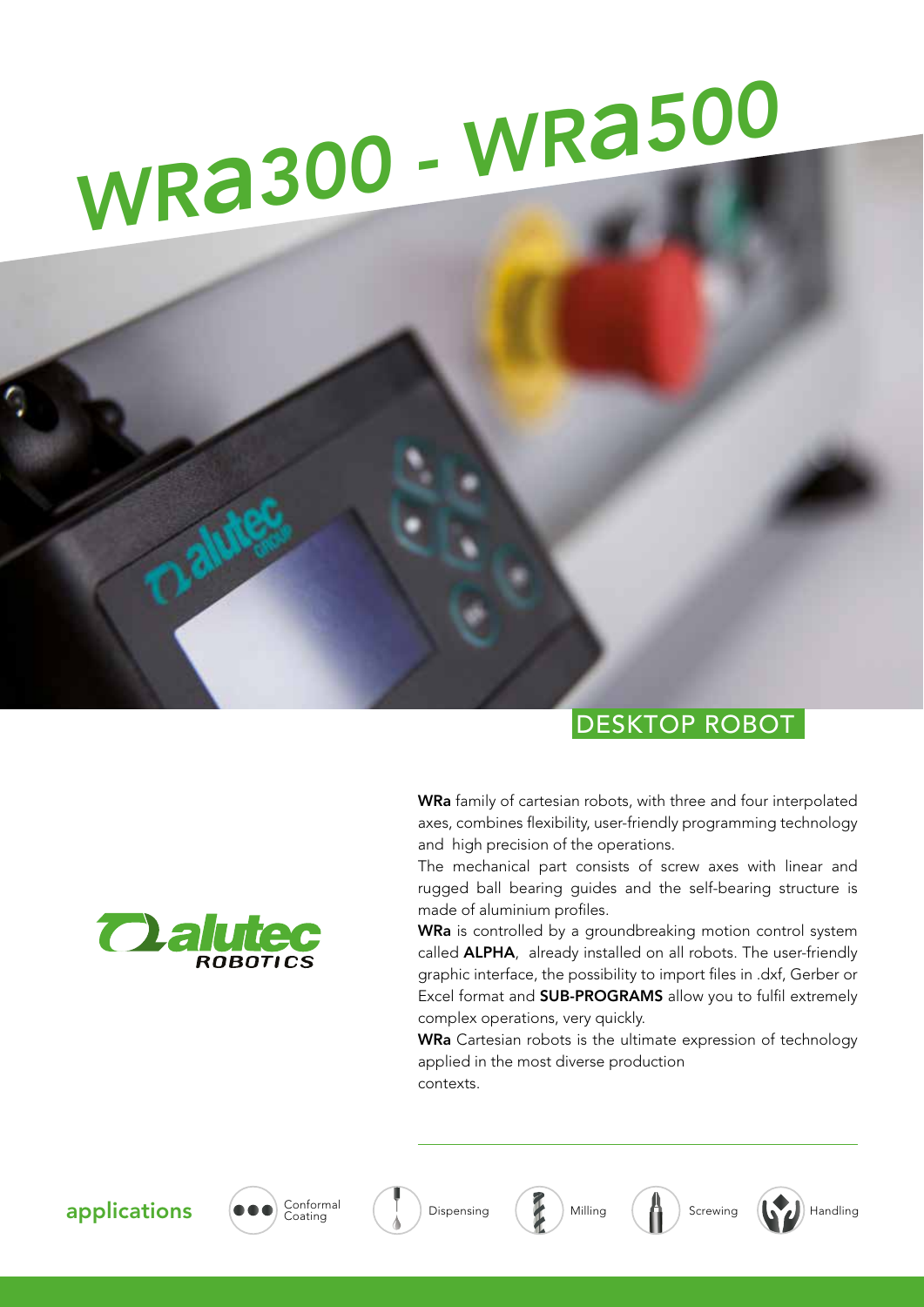# *WRa300 - WRa<sup>500</sup>*

### DESKTOP ROBOT

WRa family of cartesian robots, with three and four interpolated axes, combines flexibility, user-friendly programming technology and high precision of the operations.

The mechanical part consists of screw axes with linear and rugged ball bearing guides and the self-bearing structure is made of aluminium profiles.

WRa is controlled by a groundbreaking motion control system called **ALPHA**, already installed on all robots. The user-friendly graphic interface, the possibility to import files in .dxf, Gerber or Excel format and SUB-PROGRAMS allow you to fulfil extremely complex operations, very quickly.

WRa Cartesian robots is the ultimate expression of technology applied in the most diverse production contexts.











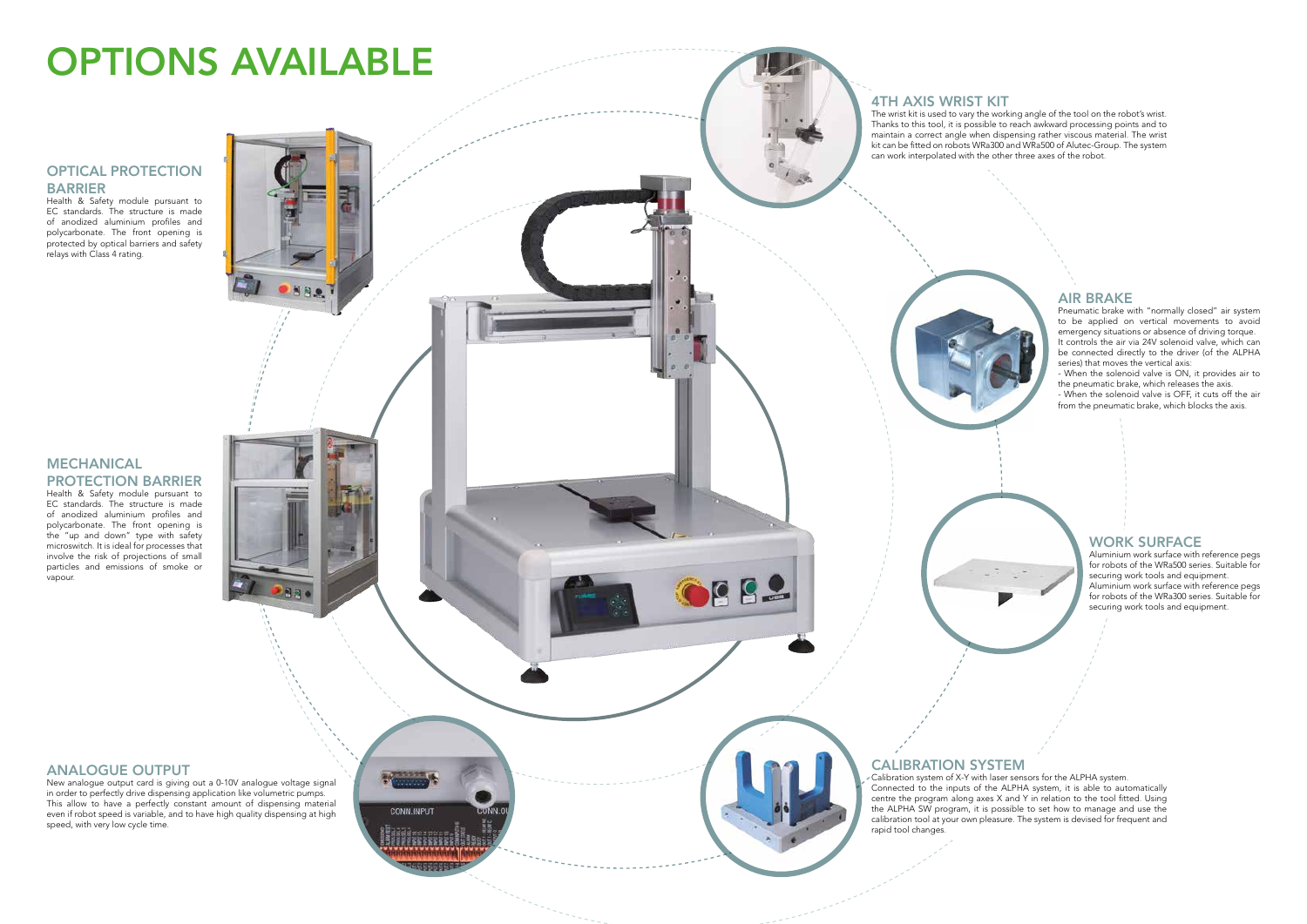#### 4TH AXIS WRIST KIT

The wrist kit is used to vary the working angle of the tool on the robot's wrist. Thanks to this tool, it is possible to reach awkward processing points and to maintain a correct angle when dispensing rather viscous material. The wrist kit can be fitted on robots WRa300 and WRa500 of Alutec-Group. The system can work interpolated with the other three axes of the robot.

## CALIBRATION SYSTEM

Calibration system of X-Y with laser sensors for the ALPHA system. Connected to the inputs of the ALPHA system, it is able to automatically centre the program along axes X and Y in relation to the tool fitted. Using the ALPHA SW program, it is possible to set how to manage and use the calibration tool at your own pleasure. The system is devised for frequent and rapid tool changes.

#### ANALOGUE OUTPUT

New analogue output card is giving out a 0-10V analogue voltage signal in order to perfectly drive dispensing application like volumetric pumps. This allow to have a perfectly constant amount of dispensing material even if robot speed is variable, and to have high quality dispensing at high speed, with very low cycle time.

**Marian** 

CONN.INPUT

882

#### AIR BRAKE

Pneumatic brake with "normally closed" air system to be applied on vertical movements to avoid emergency situations or absence of driving torque. It controls the air via 24V solenoid valve, which can be connected directly to the driver (of the ALPHA series) that moves the vertical axis:

- When the solenoid valve is ON, it provides air to the pneumatic brake, which releases the axis.

- When the solenoid valve is OFF, it cuts off the air from the pneumatic brake, which blocks the axis.

#### WORK SURFACE

Aluminium work surface with reference pegs for robots of the WRa500 series. Suitable for securing work tools and equipment. Aluminium work surface with reference pegs for robots of the WRa300 series. Suitable for securing work tools and equipment.

#### OPTICAL PROTECTION BARRIER

Health & Safety module pursuant to EC standards. The structure is made of anodized aluminium profiles and polycarbonate. The front opening is protected by optical barriers and safety relays with Class 4 rating.

#### MECHANICAL PROTECTION BARRIER

Health & Safety module pursuant to EC standards. The structure is made of anodized aluminium profiles and polycarbonate. The front opening is polycalboriate. The front opening is<br>the "up and down" type with safety microswitch. It is ideal for processes that involve the risk of projections of small particles and emissions of smoke or vapour.

# OPTIONS AVAILABLE